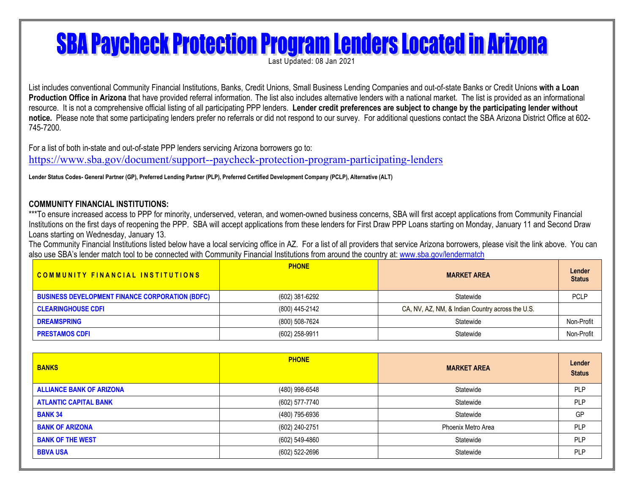## **SBA Paycheck Protection Program Lenders Located in Arizona**

Last Updated: 08 Jan 2021

List includes conventional Community Financial Institutions, Banks, Credit Unions, Small Business Lending Companies and out-of-state Banks or Credit Unions **with a Loan Production Office in Arizona** that have provided referral information. The list also includes alternative lenders with a national market. The list is provided as an informational resource. It is not a comprehensive official listing of all participating PPP lenders. **Lender credit preferences are subject to change by the participating lender without**  notice. Please note that some participating lenders prefer no referrals or did not respond to our survey. For additional questions contact the SBA Arizona District Office at 602-745-7200.

For a list of both in-state and out-of-state PPP lenders servicing Arizona borrowers go to:

<https://www.sba.gov/document/support--paycheck-protection-program-participating-lenders>

**Lender Status Codes- General Partner (GP), Preferred Lending Partner (PLP), Preferred Certified Development Company (PCLP), Alternative (ALT)**

## **COMMUNITY FINANCIAL INSTITUTIONS:**

\*\*\*To ensure increased access to PPP for minority, underserved, veteran, and women-owned business concerns, SBA will first accept applications from Community Financial Institutions on the first days of reopening the PPP. SBA will accept applications from these lenders for First Draw PPP Loans starting on Monday, January 11 and Second Draw Loans starting on Wednesday, January 13.

The Community Financial Institutions listed below have a local servicing office in AZ. For a list of all providers that service Arizona borrowers, please visit the link above. You can also use SBA's lender match tool to be connected with Community Financial Institutions from around the country at: [www.sba.gov/lendermatch](http://www.sba.gov/lendermatch) 

| COMMUNITY FINANCIAL INSTITUTIONS                       | <b>PHONE</b>   | <b>MARKET AREA</b>                               | Lender<br><b>Status</b> |
|--------------------------------------------------------|----------------|--------------------------------------------------|-------------------------|
| <b>BUSINESS DEVELOPMENT FINANCE CORPORATION (BDFC)</b> | (602) 381-6292 | Statewide                                        | <b>PCLP</b>             |
| <b>CLEARINGHOUSE CDFI</b>                              | (800) 445-2142 | CA, NV, AZ, NM, & Indian Country across the U.S. |                         |
| <b>DREAMSPRING</b>                                     | (800) 508-7624 | Statewide                                        | Non-Profit              |
| <b>PRESTAMOS CDFI</b>                                  | (602) 258-9911 | Statewide                                        | Non-Profit              |

| <b>BANKS</b>                    | <b>PHONE</b>   | <b>MARKET AREA</b> | Lender<br><b>Status</b> |
|---------------------------------|----------------|--------------------|-------------------------|
| <b>ALLIANCE BANK OF ARIZONA</b> | (480) 998-6548 | Statewide          | PLP                     |
| <b>ATLANTIC CAPITAL BANK</b>    | (602) 577-7740 | Statewide          | <b>PLP</b>              |
| <b>BANK 34</b>                  | (480) 795-6936 | Statewide          | GP                      |
| <b>BANK OF ARIZONA</b>          | (602) 240-2751 | Phoenix Metro Area | <b>PLP</b>              |
| <b>BANK OF THE WEST</b>         | (602) 549-4860 | Statewide          | <b>PLP</b>              |
| <b>BBVA USA</b>                 | (602) 522-2696 | Statewide          | <b>PLP</b>              |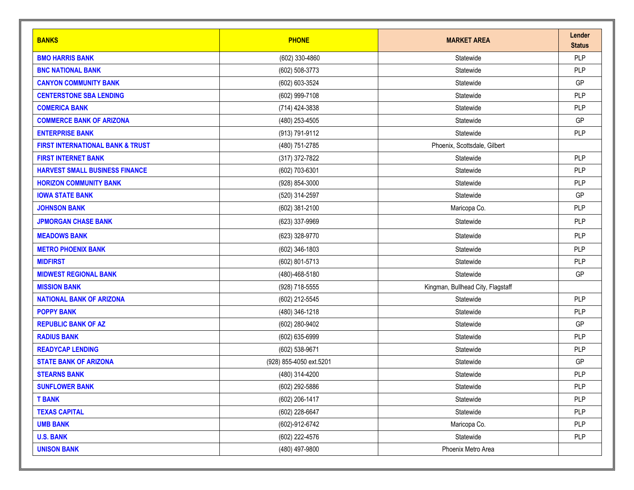| <b>BANKS</b>                                | <b>PHONE</b>            | <b>MARKET AREA</b>                | Lender<br><b>Status</b> |
|---------------------------------------------|-------------------------|-----------------------------------|-------------------------|
| <b>BMO HARRIS BANK</b>                      | (602) 330-4860          | Statewide                         | PLP                     |
| <b>BNC NATIONAL BANK</b>                    | (602) 508-3773          | Statewide                         | PLP                     |
| <b>CANYON COMMUNITY BANK</b>                | (602) 603-3524          | Statewide                         | GP                      |
| <b>CENTERSTONE SBA LENDING</b>              | (602) 999-7108          | Statewide                         | PLP                     |
| <b>COMERICA BANK</b>                        | (714) 424-3838          | Statewide                         | PLP                     |
| <b>COMMERCE BANK OF ARIZONA</b>             | (480) 253-4505          | Statewide                         | GP                      |
| <b>ENTERPRISE BANK</b>                      | (913) 791-9112          | Statewide                         | PLP                     |
| <b>FIRST INTERNATIONAL BANK &amp; TRUST</b> | (480) 751-2785          | Phoenix, Scottsdale, Gilbert      |                         |
| <b>FIRST INTERNET BANK</b>                  | (317) 372-7822          | Statewide                         | <b>PLP</b>              |
| <b>HARVEST SMALL BUSINESS FINANCE</b>       | (602) 703-6301          | Statewide                         | <b>PLP</b>              |
| <b>HORIZON COMMUNITY BANK</b>               | (928) 854-3000          | Statewide                         | PLP                     |
| <b>IOWA STATE BANK</b>                      | (520) 314-2597          | Statewide                         | GP                      |
| <b>JOHNSON BANK</b>                         | (602) 381-2100          | Maricopa Co.                      | PLP                     |
| <b>JPMORGAN CHASE BANK</b>                  | (623) 337-9969          | Statewide                         | PLP                     |
| <b>MEADOWS BANK</b>                         | (623) 328-9770          | Statewide                         | PLP                     |
| <b>METRO PHOENIX BANK</b>                   | (602) 346-1803          | Statewide                         | PLP                     |
| <b>MIDFIRST</b>                             | (602) 801-5713          | Statewide                         | <b>PLP</b>              |
| <b>MIDWEST REGIONAL BANK</b>                | (480)-468-5180          | Statewide                         | GP                      |
| <b>MISSION BANK</b>                         | (928) 718-5555          | Kingman, Bullhead City, Flagstaff |                         |
| <b>NATIONAL BANK OF ARIZONA</b>             | (602) 212-5545          | Statewide                         | PLP                     |
| <b>POPPY BANK</b>                           | (480) 346-1218          | Statewide                         | <b>PLP</b>              |
| <b>REPUBLIC BANK OF AZ</b>                  | (602) 280-9402          | Statewide                         | GP                      |
| <b>RADIUS BANK</b>                          | (602) 635-6999          | Statewide                         | PLP                     |
| <b>READYCAP LENDING</b>                     | (602) 538-9671          | Statewide                         | PLP                     |
| <b>STATE BANK OF ARIZONA</b>                | (928) 855-4050 ext.5201 | Statewide                         | GP                      |
| <b>STEARNS BANK</b>                         | (480) 314-4200          | Statewide                         | PLP                     |
| <b>SUNFLOWER BANK</b>                       | (602) 292-5886          | Statewide                         | <b>PLP</b>              |
| <b>T BANK</b>                               | (602) 206-1417          | Statewide                         | <b>PLP</b>              |
| <b>TEXAS CAPITAL</b>                        | (602) 228-6647          | Statewide                         | <b>PLP</b>              |
| <b>UMB BANK</b>                             | (602)-912-6742          | Maricopa Co.                      | <b>PLP</b>              |
| <b>U.S. BANK</b>                            | (602) 222-4576          | Statewide                         | <b>PLP</b>              |
| <b>UNISON BANK</b>                          | (480) 497-9800          | Phoenix Metro Area                |                         |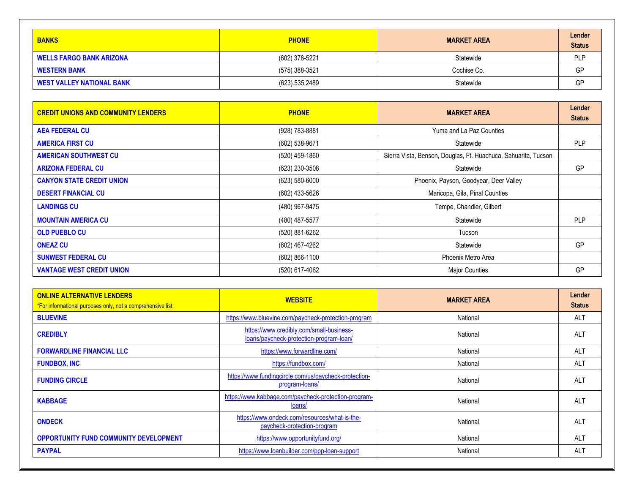| <b>BANKS</b>                     | <b>PHONE</b>   | <b>MARKET AREA</b> | Lender<br><b>Status</b> |
|----------------------------------|----------------|--------------------|-------------------------|
| <b>WELLS FARGO BANK ARIZONA</b>  | (602) 378-5221 | Statewide          | <b>PLP</b>              |
| <b>WESTERN BANK</b>              | (575) 388-3521 | Cochise Co.        | GP                      |
| <b>WEST VALLEY NATIONAL BANK</b> | (623).535.2489 | Statewide          | GP                      |

| <b>CREDIT UNIONS AND COMMUNITY LENDERS</b> | <b>PHONE</b>   | <b>MARKET AREA</b>                                             | Lender<br><b>Status</b> |
|--------------------------------------------|----------------|----------------------------------------------------------------|-------------------------|
| <b>AEA FEDERAL CU</b>                      | (928) 783-8881 | Yuma and La Paz Counties                                       |                         |
| <b>AMERICA FIRST CU</b>                    | (602) 538-9671 | Statewide                                                      | <b>PLP</b>              |
| <b>AMERICAN SOUTHWEST CU</b>               | (520) 459-1860 | Sierra Vista, Benson, Douglas, Ft. Huachuca, Sahuarita, Tucson |                         |
| <b>ARIZONA FEDERAL CU</b>                  | (623) 230-3508 | Statewide                                                      | GP                      |
| <b>CANYON STATE CREDIT UNION</b>           | (623) 580-6000 | Phoenix, Payson, Goodyear, Deer Valley                         |                         |
| <b>DESERT FINANCIAL CU</b>                 | (602) 433-5626 | Maricopa, Gila, Pinal Counties                                 |                         |
| <b>LANDINGS CU</b>                         | (480) 967-9475 | Tempe, Chandler, Gilbert                                       |                         |
| <b>MOUNTAIN AMERICA CU</b>                 | (480) 487-5577 | Statewide                                                      | <b>PLP</b>              |
| <b>OLD PUEBLO CU</b>                       | (520) 881-6262 | Tucson                                                         |                         |
| <b>ONEAZ CU</b>                            | (602) 467-4262 | Statewide                                                      | <b>GP</b>               |
| <b>SUNWEST FEDERAL CU</b>                  | (602) 866-1100 | Phoenix Metro Area                                             |                         |
| <b>VANTAGE WEST CREDIT UNION</b>           | (520) 617-4062 | Major Counties                                                 | <b>GP</b>               |

| <b>ONLINE ALTERNATIVE LENDERS</b><br>*For informational purposes only, not a comprehensive list. | <b>WEBSITE</b>                                                                      | <b>MARKET AREA</b> | Lender<br><b>Status</b> |
|--------------------------------------------------------------------------------------------------|-------------------------------------------------------------------------------------|--------------------|-------------------------|
| <b>BLUEVINE</b>                                                                                  | https://www.bluevine.com/paycheck-protection-program                                | National           | <b>ALT</b>              |
| <b>CREDIBLY</b>                                                                                  | https://www.credibly.com/small-business-<br>loans/paycheck-protection-program-loan/ | National           | <b>ALT</b>              |
| <b>FORWARDLINE FINANCIAL LLC</b>                                                                 | https://www.forwardline.com/                                                        | National           | <b>ALT</b>              |
| <b>FUNDBOX, INC</b>                                                                              | https://fundbox.com/                                                                | National           | <b>ALT</b>              |
| <b>FUNDING CIRCLE</b>                                                                            | https://www.fundingcircle.com/us/paycheck-protection-<br>program-loans/             | National           | <b>ALT</b>              |
| <b>KABBAGE</b>                                                                                   | https://www.kabbage.com/paycheck-protection-program-<br>loans/                      | National           | <b>ALT</b>              |
| <b>ONDECK</b>                                                                                    | https://www.ondeck.com/resources/what-is-the-<br>paycheck-protection-program        | National           | <b>ALT</b>              |
| <b>OPPORTUNITY FUND COMMUNITY DEVELOPMENT</b>                                                    | https://www.opportunityfund.org/                                                    | National           | <b>ALT</b>              |
| <b>PAYPAL</b>                                                                                    | https://www.loanbuilder.com/ppp-loan-support                                        | National           | <b>ALT</b>              |